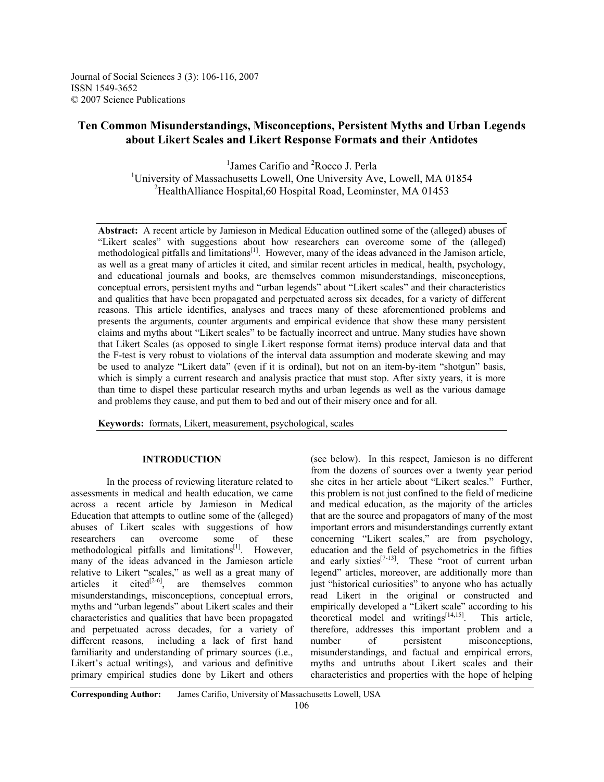Journal of Social Sciences 3 (3): 106-116, 2007 ISSN 1549-3652 © 2007 Science Publications

# **Ten Common Misunderstandings, Misconceptions, Persistent Myths and Urban Legends about Likert Scales and Likert Response Formats and their Antidotes**

<sup>1</sup> James Carifio and <sup>2</sup> Rocco J. Perla <sup>1</sup>University of Massachusetts Lowell, One University Ave, Lowell, MA 01854 2 HealthAlliance Hospital,60 Hospital Road, Leominster, MA 01453

**Abstract:** A recent article by Jamieson in Medical Education outlined some of the (alleged) abuses of "Likert scales" with suggestions about how researchers can overcome some of the (alleged) methodological pitfalls and limitations<sup>[1]</sup>. However, many of the ideas advanced in the Jamison article, as well as a great many of articles it cited, and similar recent articles in medical, health, psychology, and educational journals and books, are themselves common misunderstandings, misconceptions, conceptual errors, persistent myths and "urban legends" about "Likert scales" and their characteristics and qualities that have been propagated and perpetuated across six decades, for a variety of different reasons. This article identifies, analyses and traces many of these aforementioned problems and presents the arguments, counter arguments and empirical evidence that show these many persistent claims and myths about "Likert scales" to be factually incorrect and untrue. Many studies have shown that Likert Scales (as opposed to single Likert response format items) produce interval data and that the F-test is very robust to violations of the interval data assumption and moderate skewing and may be used to analyze "Likert data" (even if it is ordinal), but not on an item-by-item "shotgun" basis, which is simply a current research and analysis practice that must stop. After sixty years, it is more than time to dispel these particular research myths and urban legends as well as the various damage and problems they cause, and put them to bed and out of their misery once and for all.

**Keywords:** formats, Likert, measurement, psychological, scales

# **INTRODUCTION**

In the process of reviewing literature related to assessments in medical and health education, we came across a recent article by Jamieson in Medical Education that attempts to outline some of the (alleged) abuses of Likert scales with suggestions of how researchers can overcome some of these methodological pitfalls and limitations $[1]$ . However, many of the ideas advanced in the Jamieson article relative to Likert "scales," as well as a great many of articles it cited<sup>[2-6]</sup>, are themselves common misunderstandings, misconceptions, conceptual errors, myths and "urban legends" about Likert scales and their characteristics and qualities that have been propagated and perpetuated across decades, for a variety of different reasons, including a lack of first hand familiarity and understanding of primary sources (i.e., Likert's actual writings), and various and definitive primary empirical studies done by Likert and others

(see below). In this respect, Jamieson is no different from the dozens of sources over a twenty year period she cites in her article about "Likert scales." Further, this problem is not just confined to the field of medicine and medical education, as the majority of the articles that are the source and propagators of many of the most important errors and misunderstandings currently extant concerning "Likert scales," are from psychology, education and the field of psychometrics in the fifties and early sixties $[7-13]$ . These "root of current urban" legend" articles, moreover, are additionally more than just "historical curiosities" to anyone who has actually read Likert in the original or constructed and empirically developed a "Likert scale" according to his theoretical model and writings $[14,15]$ . This article, therefore, addresses this important problem and a number of persistent misconceptions, misunderstandings, and factual and empirical errors, myths and untruths about Likert scales and their characteristics and properties with the hope of helping

**Corresponding Author:** James Carifio, University of Massachusetts Lowell, USA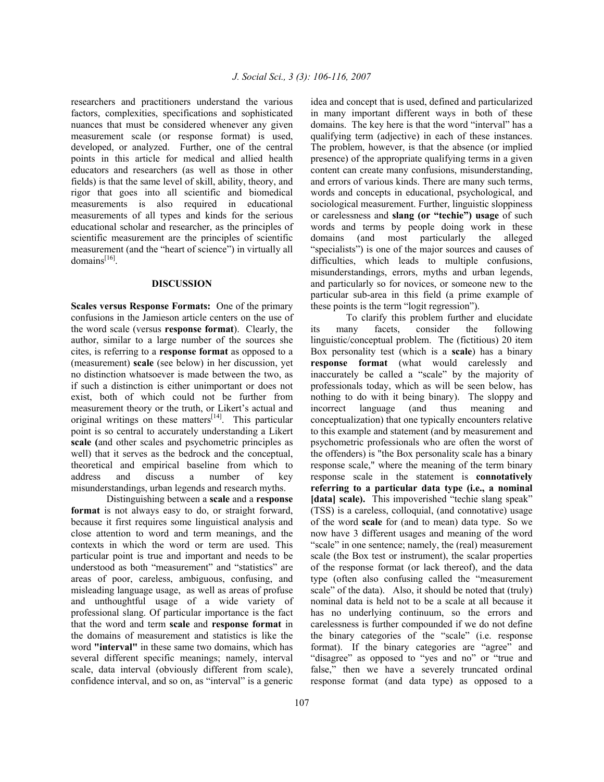researchers and practitioners understand the various factors, complexities, specifications and sophisticated nuances that must be considered whenever any given measurement scale (or response format) is used, developed, or analyzed. Further, one of the central points in this article for medical and allied health educators and researchers (as well as those in other fields) is that the same level of skill, ability, theory, and rigor that goes into all scientific and biomedical measurements is also required in educational measurements of all types and kinds for the serious educational scholar and researcher, as the principles of scientific measurement are the principles of scientific measurement (and the "heart of science") in virtually all domains<sup>[16]</sup>.

#### **DISCUSSION**

**Scales versus Response Formats:** One of the primary confusions in the Jamieson article centers on the use of the word scale (versus **response format**). Clearly, the author, similar to a large number of the sources she cites, is referring to a **response format** as opposed to a (measurement) **scale** (see below) in her discussion, yet no distinction whatsoever is made between the two, as if such a distinction is either unimportant or does not exist, both of which could not be further from measurement theory or the truth, or Likert's actual and original writings on these matters<sup>[14]</sup>. This particular point is so central to accurately understanding a Likert **scale (**and other scales and psychometric principles as well) that it serves as the bedrock and the conceptual, theoretical and empirical baseline from which to address and discuss a number of key misunderstandings, urban legends and research myths.

Distinguishing between a **scale** and a **response format** is not always easy to do, or straight forward, because it first requires some linguistical analysis and close attention to word and term meanings, and the contexts in which the word or term are used. This particular point is true and important and needs to be understood as both "measurement" and "statistics" are areas of poor, careless, ambiguous, confusing, and misleading language usage, as well as areas of profuse and unthoughtful usage of a wide variety of professional slang. Of particular importance is the fact that the word and term **scale** and **response format** in the domains of measurement and statistics is like the word **"interval"** in these same two domains, which has several different specific meanings; namely, interval scale, data interval (obviously different from scale), confidence interval, and so on, as "interval" is a generic

idea and concept that is used, defined and particularized in many important different ways in both of these domains. The key here is that the word "interval" has a qualifying term (adjective) in each of these instances. The problem, however, is that the absence (or implied presence) of the appropriate qualifying terms in a given content can create many confusions, misunderstanding, and errors of various kinds. There are many such terms, words and concepts in educational, psychological, and sociological measurement. Further, linguistic sloppiness or carelessness and **slang (or "techie") usage** of such words and terms by people doing work in these domains (and most particularly the alleged "specialists") is one of the major sources and causes of difficulties, which leads to multiple confusions, misunderstandings, errors, myths and urban legends, and particularly so for novices, or someone new to the particular sub-area in this field (a prime example of these points is the term "logit regression").

To clarify this problem further and elucidate its many facets, consider the following linguistic/conceptual problem. The (fictitious) 20 item Box personality test (which is a **scale**) has a binary **response format** (what would carelessly and inaccurately be called a "scale" by the majority of professionals today, which as will be seen below, has nothing to do with it being binary). The sloppy and incorrect language (and thus meaning and conceptualization) that one typically encounters relative to this example and statement (and by measurement and psychometric professionals who are often the worst of the offenders) is "the Box personality scale has a binary response scale," where the meaning of the term binary response scale in the statement is **connotatively referring to a particular data type (i.e., a nominal [data] scale).** This impoverished "techie slang speak" (TSS) is a careless, colloquial, (and connotative) usage of the word **scale** for (and to mean) data type.So we now have 3 different usages and meaning of the word "scale" in one sentence; namely, the (real) measurement scale (the Box test or instrument), the scalar properties of the response format (or lack thereof), and the data type (often also confusing called the "measurement scale" of the data). Also, it should be noted that (truly) nominal data is held not to be a scale at all because it has no underlying continuum, so the errors and carelessness is further compounded if we do not define the binary categories of the "scale" (i.e. response format). If the binary categories are "agree" and "disagree" as opposed to "yes and no" or "true and false," then we have a severely truncated ordinal response format (and data type) as opposed to a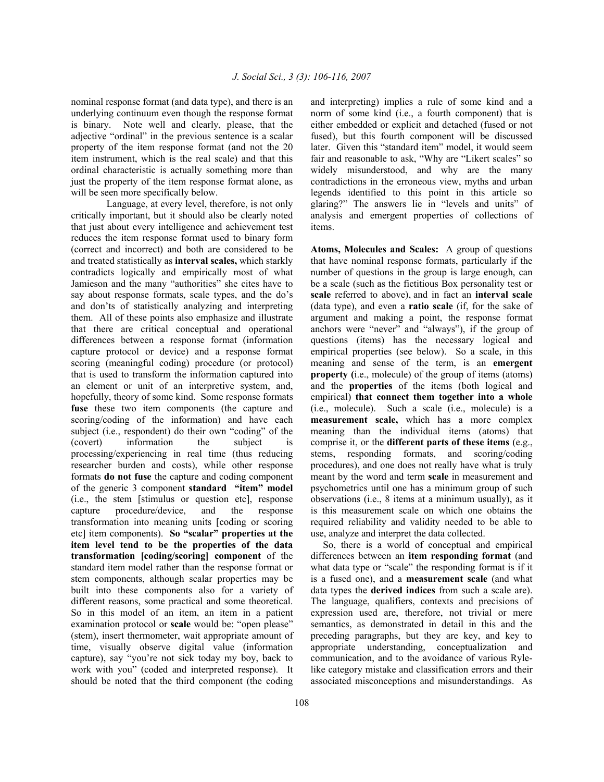nominal response format (and data type), and there is an underlying continuum even though the response format is binary. Note well and clearly, please, that the adjective "ordinal" in the previous sentence is a scalar property of the item response format (and not the 20 item instrument, which is the real scale) and that this ordinal characteristic is actually something more than just the property of the item response format alone, as will be seen more specifically below.

Language, at every level, therefore, is not only critically important, but it should also be clearly noted that just about every intelligence and achievement test reduces the item response format used to binary form (correct and incorrect) and both are considered to be and treated statistically as **interval scales,** which starkly contradicts logically and empirically most of what Jamieson and the many "authorities" she cites have to say about response formats, scale types, and the do's and don'ts of statistically analyzing and interpreting them. All of these points also emphasize and illustrate that there are critical conceptual and operational differences between a response format (information capture protocol or device) and a response format scoring (meaningful coding) procedure (or protocol) that is used to transform the information captured into an element or unit of an interpretive system, and, hopefully, theory of some kind. Some response formats fuse these two item components (the capture and scoring/coding of the information) and have each subject (i.e., respondent) do their own "coding" of the (covert) information the subject is processing/experiencing in real time (thus reducing researcher burden and costs), while other response formats **do not fuse** the capture and coding component of the generic 3 component **standard "item" model**  (i.e., the stem [stimulus or question etc], response capture procedure/device, and the response transformation into meaning units [coding or scoring etc] item components). **So "scalar" properties at the item level tend to be the properties of the data transformation [coding/scoring] component** of the standard item model rather than the response format or stem components, although scalar properties may be built into these components also for a variety of different reasons, some practical and some theoretical. So in this model of an item, an item in a patient examination protocol or **scale** would be: "open please" (stem), insert thermometer, wait appropriate amount of time, visually observe digital value (information capture), say "you're not sick today my boy, back to work with you" (coded and interpreted response). It should be noted that the third component (the coding

and interpreting) implies a rule of some kind and a norm of some kind (i.e., a fourth component) that is either embedded or explicit and detached (fused or not fused), but this fourth component will be discussed later. Given this "standard item" model, it would seem fair and reasonable to ask, "Why are "Likert scales" so widely misunderstood, and why are the many contradictions in the erroneous view, myths and urban legends identified to this point in this article so glaring?" The answers lie in "levels and units" of analysis and emergent properties of collections of items.

**Atoms, Molecules and Scales:** A group of questions that have nominal response formats, particularly if the number of questions in the group is large enough, can be a scale (such as the fictitious Box personality test or **scale** referred to above), and in fact an **interval scale**  (data type), and even a **ratio scale** (if, for the sake of argument and making a point, the response format anchors were "never" and "always"), if the group of questions (items) has the necessary logical and empirical properties (see below). So a scale, in this meaning and sense of the term, is an **emergent property (**i.e., molecule) of the group of items (atoms) and the **properties** of the items (both logical and empirical) **that connect them together into a whole**  (i.e., molecule). Such a scale (i.e., molecule) is a **measurement scale,** which has a more complex meaning than the individual items (atoms) that comprise it, or the **different parts of these items** (e.g., stems, responding formats, and scoring/coding procedures), and one does not really have what is truly meant by the word and term **scale** in measurement and psychometrics until one has a minimum group of such observations (i.e., 8 items at a minimum usually), as it is this measurement scale on which one obtains the required reliability and validity needed to be able to use, analyze and interpret the data collected.

 So, there is a world of conceptual and empirical differences between an **item responding format** (and what data type or "scale" the responding format is if it is a fused one), and a **measurement scale** (and what data types the **derived indices** from such a scale are). The language, qualifiers, contexts and precisions of expression used are, therefore, not trivial or mere semantics, as demonstrated in detail in this and the preceding paragraphs, but they are key, and key to appropriate understanding, conceptualization and communication, and to the avoidance of various Rylelike category mistake and classification errors and their associated misconceptions and misunderstandings. As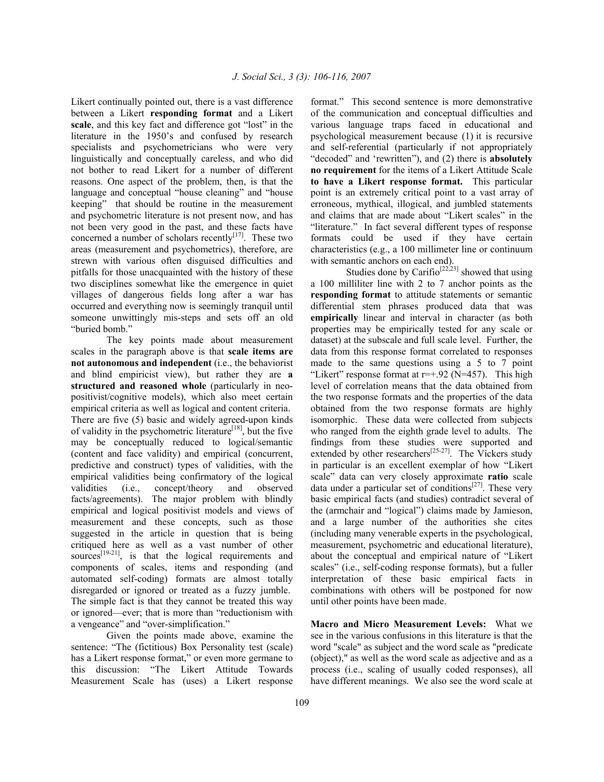Likert continually pointed out, there is a vast difference between a Likert **responding format** and a Likert **scale**, and this key fact and difference got "lost" in the literature in the 1950's and confused by research specialists and psychometricians who were very linguistically and conceptually careless, and who did not bother to read Likert for a number of different reasons. One aspect of the problem, then, is that the language and conceptual "house cleaning" and "house keeping" that should be routine in the measurement and psychometric literature is not present now, and has not been very good in the past, and these facts have concerned a number of scholars recently $[17]$ . These two areas (measurement and psychometrics), therefore, are strewn with various often disguised difficulties and pitfalls for those unacquainted with the history of these two disciplines somewhat like the emergence in quiet villages of dangerous fields long after a war has occurred and everything now is seemingly tranquil until someone unwittingly mis-steps and sets off an old "buried bomb."

The key points made about measurement scales in the paragraph above is that **scale items are not autonomous and independent** (i.e., the behaviorist and blind empiricist view), but rather they are **a structured and reasoned whole** (particularly in neopositivist/cognitive models), which also meet certain empirical criteria as well as logical and content criteria. There are five (5) basic and widely agreed-upon kinds of validity in the psychometric literature<sup>[18]</sup>, but the five may be conceptually reduced to logical/semantic (content and face validity) and empirical (concurrent, predictive and construct) types of validities, with the empirical validities being confirmatory of the logical validities (i.e., concept/theory and observed facts/agreements). The major problem with blindly empirical and logical positivist models and views of measurement and these concepts, such as those suggested in the article in question that is being critiqued here as well as a vast number of other sources $[19-21]$ , is that the logical requirements and components of scales, items and responding (and automated self-coding) formats are almost totally disregarded or ignored or treated as a fuzzy jumble. The simple fact is that they cannot be treated this way or ignored—ever; that is more than "reductionism with a vengeance" and "over-simplification."

Given the points made above, examine the sentence: "The (fictitious) Box Personality test (scale) has a Likert response format," or even more germane to this discussion: "The Likert Attitude Towards Measurement Scale has (uses) a Likert response format." This second sentence is more demonstrative of the communication and conceptual difficulties and various language traps faced in educational and psychological measurement because (1) it is recursive and self-referential (particularly if not appropriately "decoded" and 'rewritten"), and (2) there is **absolutely no requirement** for the items of a Likert Attitude Scale **to have a Likert response format.** This particular point is an extremely critical point to a vast array of erroneous, mythical, illogical, and jumbled statements and claims that are made about "Likert scales" in the "literature." In fact several different types of response formats could be used if they have certain characteristics (e.g., a 100 millimeter line or continuum with semantic anchors on each end).

Studies done by Carifio<sup>[22,23]</sup> showed that using a 100 milliliter line with 2 to 7 anchor points as the **responding format** to attitude statements or semantic differential stem phrases produced data that was **empirically** linear and interval in character (as both properties may be empirically tested for any scale or dataset) at the subscale and full scale level. Further, the data from this response format correlated to responses made to the same questions using a 5 to 7 point "Likert" response format at  $r=+0.92$  (N=457). This high level of correlation means that the data obtained from the two response formats and the properties of the data obtained from the two response formats are highly isomorphic. These data were collected from subjects who ranged from the eighth grade level to adults. The findings from these studies were supported and extended by other researchers<sup>[25-27]</sup>. The Vickers study in particular is an excellent exemplar of how "Likert scale" data can very closely approximate **ratio** scale data under a particular set of conditions $[27]$ . These very basic empirical facts (and studies) contradict several of the (armchair and "logical") claims made by Jamieson, and a large number of the authorities she cites (including many venerable experts in the psychological, measurement, psychometric and educational literature), about the conceptual and empirical nature of "Likert scales" (i.e., self-coding response formats), but a fuller interpretation of these basic empirical facts in combinations with others will be postponed for now until other points have been made.

**Macro and Micro Measurement Levels:** What we see in the various confusions in this literature is that the word "scale" as subject and the word scale as "predicate (object)," as well as the word scale as adjective and as a process (i.e., scaling of usually coded responses), all have different meanings. We also see the word scale at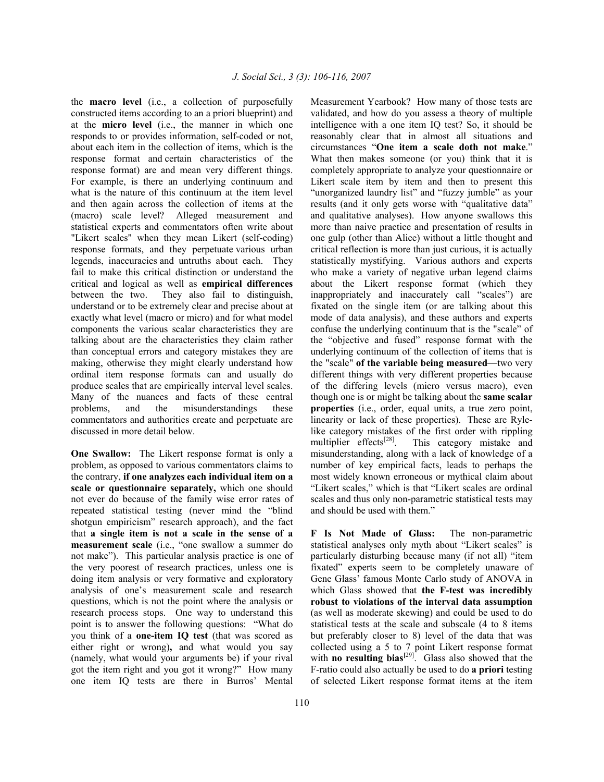the **macro level** (i.e., a collection of purposefully constructed items according to an a priori blueprint) and at the **micro level** (i.e., the manner in which one responds to or provides information, self-coded or not, about each item in the collection of items, which is the response format and certain characteristics of the response format) are and mean very different things. For example, is there an underlying continuum and what is the nature of this continuum at the item level and then again across the collection of items at the (macro) scale level? Alleged measurement and statistical experts and commentators often write about "Likert scales" when they mean Likert (self-coding) response formats, and they perpetuate various urban legends, inaccuracies and untruths about each. They fail to make this critical distinction or understand the critical and logical as well as **empirical differences** between the two. They also fail to distinguish, understand or to be extremely clear and precise about at exactly what level (macro or micro) and for what model components the various scalar characteristics they are talking about are the characteristics they claim rather than conceptual errors and category mistakes they are making, otherwise they might clearly understand how ordinal item response formats can and usually do produce scales that are empirically interval level scales. Many of the nuances and facts of these central problems, and the misunderstandings these commentators and authorities create and perpetuate are discussed in more detail below.

**One Swallow:** The Likert response format is only a problem, as opposed to various commentators claims to the contrary, **if one analyzes each individual item on a scale or questionnaire separately,** which one should not ever do because of the family wise error rates of repeated statistical testing (never mind the "blind shotgun empiricism" research approach), and the fact that **a single item is not a scale in the sense of a measurement scale** (i.e., "one swallow a summer do not make").This particular analysis practice is one of the very poorest of research practices, unless one is doing item analysis or very formative and exploratory analysis of one's measurement scale and research questions, which is not the point where the analysis or research process stops. One way to understand this point is to answer the following questions: "What do you think of a **one-item IQ test** (that was scored as either right or wrong)**,** and what would you say (namely, what would your arguments be) if your rival got the item right and you got it wrong?" How many one item IQ tests are there in Burros' Mental

Measurement Yearbook? How many of those tests are validated, and how do you assess a theory of multiple intelligence with a one item IQ test? So, it should be reasonably clear that in almost all situations and circumstances "**One item a scale doth not make**." What then makes someone (or you) think that it is completely appropriate to analyze your questionnaire or Likert scale item by item and then to present this "unorganized laundry list" and "fuzzy jumble" as your results (and it only gets worse with "qualitative data" and qualitative analyses). How anyone swallows this more than naive practice and presentation of results in one gulp (other than Alice) without a little thought and critical reflection is more than just curious, it is actually statistically mystifying. Various authors and experts who make a variety of negative urban legend claims about the Likert response format (which they inappropriately and inaccurately call "scales") are fixated on the single item (or are talking about this mode of data analysis), and these authors and experts confuse the underlying continuum that is the "scale" of the "objective and fused" response format with the underlying continuum of the collection of items that is the "scale" **of the variable being measured**—two very different things with very different properties because of the differing levels (micro versus macro), even though one is or might be talking about the **same scalar properties** (i.e., order, equal units, a true zero point, linearity or lack of these properties). These are Rylelike category mistakes of the first order with rippling multiplier effects<sup>[28]</sup>. This category mistake and This category mistake and misunderstanding, along with a lack of knowledge of a number of key empirical facts, leads to perhaps the most widely known erroneous or mythical claim about "Likert scales," which is that "Likert scales are ordinal scales and thus only non-parametric statistical tests may and should be used with them."

**F Is Not Made of Glass:** The non-parametric statistical analyses only myth about "Likert scales" is particularly disturbing because many (if not all) "item fixated" experts seem to be completely unaware of Gene Glass' famous Monte Carlo study of ANOVA in which Glass showed that **the F-test was incredibly robust to violations of the interval data assumption** (as well as moderate skewing) and could be used to do statistical tests at the scale and subscale (4 to 8 items but preferably closer to 8) level of the data that was collected using a 5 to 7 point Likert response format with **no resulting bias**<sup>[29]</sup>. Glass also showed that the F-ratio could also actually be used to do **a priori** testing of selected Likert response format items at the item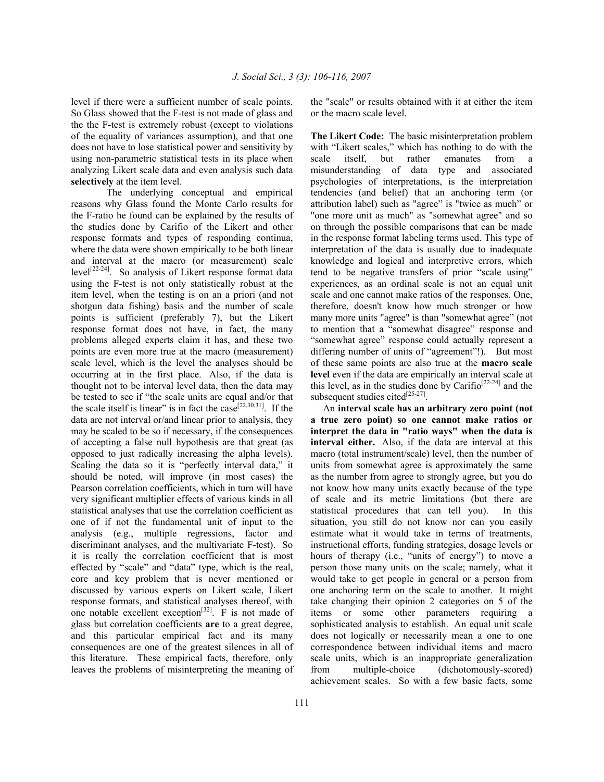level if there were a sufficient number of scale points. So Glass showed that the F-test is not made of glass and the the F-test is extremely robust (except to violations of the equality of variances assumption), and that one does not have to lose statistical power and sensitivity by using non-parametric statistical tests in its place when analyzing Likert scale data and even analysis such data **selectively** at the item level.

The underlying conceptual and empirical reasons why Glass found the Monte Carlo results for the F-ratio he found can be explained by the results of the studies done by Carifio of the Likert and other response formats and types of responding continua, where the data were shown empirically to be both linear and interval at the macro (or measurement) scale level[22-24]. So analysis of Likert response format data using the F-test is not only statistically robust at the item level, when the testing is on an a priori (and not shotgun data fishing) basis and the number of scale points is sufficient (preferably 7), but the Likert response format does not have, in fact, the many problems alleged experts claim it has, and these two points are even more true at the macro (measurement) scale level, which is the level the analyses should be occurring at in the first place. Also, if the data is thought not to be interval level data, then the data may be tested to see if "the scale units are equal and/or that the scale itself is linear" is in fact the case<sup>[22,30,31]</sup>. If the data are not interval or/and linear prior to analysis, they may be scaled to be so if necessary, if the consequences of accepting a false null hypothesis are that great (as opposed to just radically increasing the alpha levels). Scaling the data so it is "perfectly interval data," it should be noted, will improve (in most cases) the Pearson correlation coefficients, which in turn will have very significant multiplier effects of various kinds in all statistical analyses that use the correlation coefficient as one of if not the fundamental unit of input to the analysis (e.g., multiple regressions, factor and discriminant analyses, and the multivariate F-test). So it is really the correlation coefficient that is most effected by "scale" and "data" type, which is the real, core and key problem that is never mentioned or discussed by various experts on Likert scale, Likert response formats, and statistical analyses thereof, with one notable excellent exception<sup>[32]</sup>. F is not made of glass but correlation coefficients **are** to a great degree, and this particular empirical fact and its many consequences are one of the greatest silences in all of this literature. These empirical facts, therefore, only leaves the problems of misinterpreting the meaning of

111

the "scale" or results obtained with it at either the item or the macro scale level.

**The Likert Code:** The basic misinterpretation problem with "Likert scales," which has nothing to do with the scale itself, but rather emanates from a misunderstanding of data type and associated psychologies of interpretations, is the interpretation tendencies (and belief) that an anchoring term (or attribution label) such as "agree" is "twice as much" or "one more unit as much" as "somewhat agree" and so on through the possible comparisons that can be made in the response format labeling terms used. This type of interpretation of the data is usually due to inadequate knowledge and logical and interpretive errors, which tend to be negative transfers of prior "scale using" experiences, as an ordinal scale is not an equal unit scale and one cannot make ratios of the responses. One, therefore, doesn't know how much stronger or how many more units "agree" is than "somewhat agree" (not to mention that a "somewhat disagree" response and "somewhat agree" response could actually represent a differing number of units of "agreement"!). But most of these same points are also true at the **macro scale level** even if the data are empirically an interval scale at this level, as in the studies done by Carifio<sup>[22-24]</sup> and the subsequent studies cited $^{[25-27]}$ .

 An **interval scale has an arbitrary zero point (not a true zero point) so one cannot make ratios or interpret the data in "ratio ways" when the data is interval either.** Also, if the data are interval at this macro (total instrument/scale) level, then the number of units from somewhat agree is approximately the same as the number from agree to strongly agree, but you do not know how many units exactly because of the type of scale and its metric limitations (but there are statistical procedures that can tell you). In this situation, you still do not know nor can you easily estimate what it would take in terms of treatments, instructional efforts, funding strategies, dosage levels or hours of therapy (i.e., "units of energy") to move a person those many units on the scale; namely, what it would take to get people in general or a person from one anchoring term on the scale to another. It might take changing their opinion 2 categories on 5 of the items or some other parameters requiring a sophisticated analysis to establish. An equal unit scale does not logically or necessarily mean a one to one correspondence between individual items and macro scale units, which is an inappropriate generalization from multiple-choice (dichotomously-scored) achievement scales. So with a few basic facts, some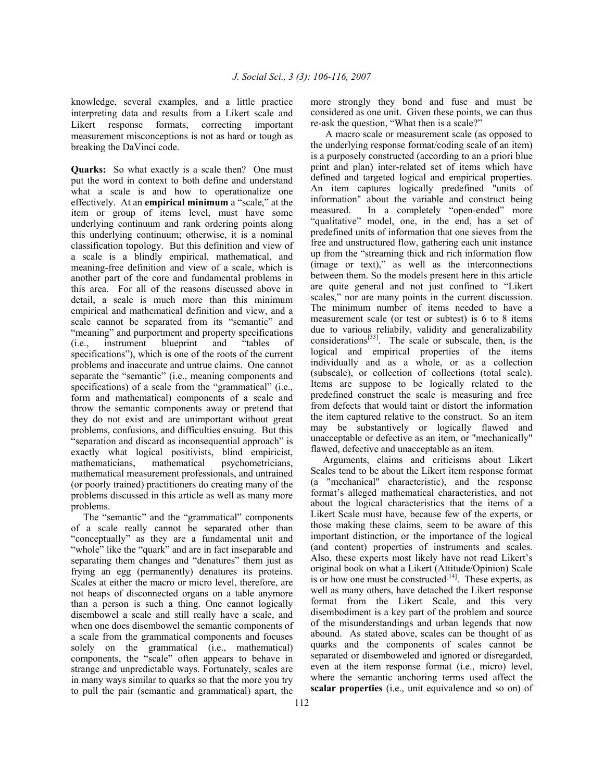knowledge, several examples, and a little practice interpreting data and results from a Likert scale and Likert response formats, correcting important measurement misconceptions is not as hard or tough as breaking the DaVinci code.

**Quarks:** So what exactly is a scale then? One must put the word in context to both define and understand what a scale is and how to operationalize one effectively. At an **empirical minimum** a "scale," at the item or group of items level, must have some underlying continuum and rank ordering points along this underlying continuum; otherwise, it is a nominal classification topology. But this definition and view of a scale is a blindly empirical, mathematical, and meaning-free definition and view of a scale, which is another part of the core and fundamental problems in this area. For all of the reasons discussed above in detail, a scale is much more than this minimum empirical and mathematical definition and view, and a scale cannot be separated from its "semantic" and "meaning" and purportment and property specifications (i.e., instrument blueprint and "tables of specifications"), which is one of the roots of the current problems and inaccurate and untrue claims. One cannot separate the "semantic" (i.e., meaning components and specifications) of a scale from the "grammatical" (i.e., form and mathematical) components of a scale and throw the semantic components away or pretend that they do not exist and are unimportant without great problems, confusions, and difficulties ensuing. But this "separation and discard as inconsequential approach" is exactly what logical positivists, blind empiricist, mathematicians, mathematical psychometricians, mathematical measurement professionals, and untrained (or poorly trained) practitioners do creating many of the problems discussed in this article as well as many more problems.

 The "semantic" and the "grammatical" components of a scale really cannot be separated other than "conceptually" as they are a fundamental unit and "whole" like the "quark" and are in fact inseparable and separating them changes and "denatures" them just as frying an egg (permanently) denatures its proteins. Scales at either the macro or micro level, therefore, are not heaps of disconnected organs on a table anymore than a person is such a thing. One cannot logically disembowel a scale and still really have a scale, and when one does disembowel the semantic components of a scale from the grammatical components and focuses solely on the grammatical (i.e., mathematical) components, the "scale" often appears to behave in strange and unpredictable ways. Fortunately, scales are in many ways similar to quarks so that the more you try to pull the pair (semantic and grammatical) apart, the

more strongly they bond and fuse and must be considered as one unit. Given these points, we can thus re-ask the question, "What then is a scale?"

 A macro scale or measurement scale (as opposed to the underlying response format/coding scale of an item) is a purposely constructed (according to an a priori blue print and plan) inter-related set of items which have defined and targeted logical and empirical properties. An item captures logically predefined "units of information" about the variable and construct being measured. In a completely "open-ended" more "qualitative" model, one, in the end, has a set of predefined units of information that one sieves from the free and unstructured flow, gathering each unit instance up from the "streaming thick and rich information flow (image or text)," as well as the interconnections between them. So the models present here in this article are quite general and not just confined to "Likert scales," nor are many points in the current discussion. The minimum number of items needed to have a measurement scale (or test or subtest) is 6 to 8 items due to various reliabily, validity and generalizability considerations[33]. The scale or subscale, then, is the logical and empirical properties of the items individually and as a whole, or as a collection (subscale), or collection of collections (total scale). Items are suppose to be logically related to the predefined construct the scale is measuring and free from defects that would taint or distort the information the item captured relative to the construct. So an item may be substantively or logically flawed and unacceptable or defective as an item, or "mechanically" flawed, defective and unacceptable as an item.

 Arguments, claims and criticisms about Likert Scales tend to be about the Likert item response format (a "mechanical" characteristic), and the response format's alleged mathematical characteristics, and not about the logical characteristics that the items of a Likert Scale must have, because few of the experts, or those making these claims, seem to be aware of this important distinction, or the importance of the logical (and content) properties of instruments and scales. Also, these experts most likely have not read Likert's original book on what a Likert (Attitude/Opinion) Scale is or how one must be constructed<sup>[14]</sup>. These experts, as well as many others, have detached the Likert response format from the Likert Scale, and this very disembodiment is a key part of the problem and source of the misunderstandings and urban legends that now abound. As stated above, scales can be thought of as quarks and the components of scales cannot be separated or disemboweled and ignored or disregarded, even at the item response format (i.e., micro) level, where the semantic anchoring terms used affect the **scalar properties** (i.e., unit equivalence and so on) of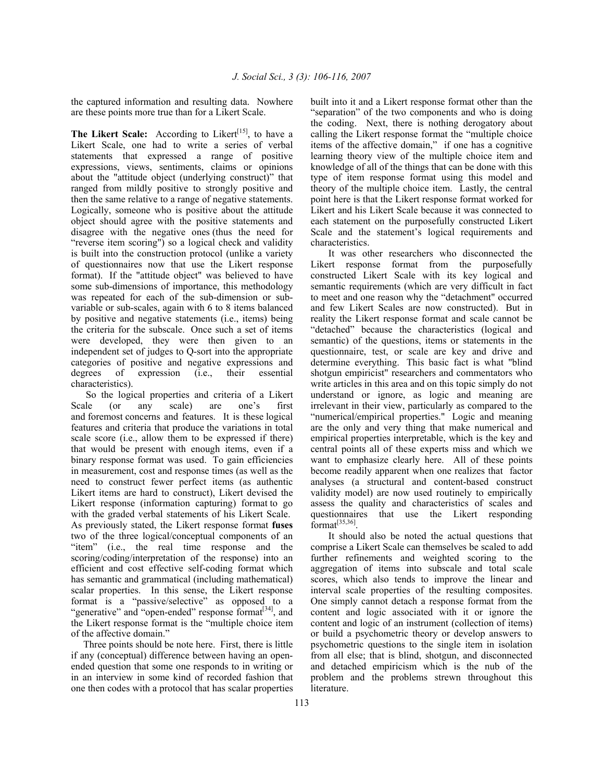the captured information and resulting data. Nowhere are these points more true than for a Likert Scale.

The Likert Scale: According to Likert<sup>[15]</sup>, to have a Likert Scale, one had to write a series of verbal statements that expressed a range of positive expressions, views, sentiments, claims or opinions about the "attitude object (underlying construct)" that ranged from mildly positive to strongly positive and then the same relative to a range of negative statements. Logically, someone who is positive about the attitude object should agree with the positive statements and disagree with the negative ones (thus the need for "reverse item scoring") so a logical check and validity is built into the construction protocol (unlike a variety of questionnaires now that use the Likert response format). If the "attitude object" was believed to have some sub-dimensions of importance, this methodology was repeated for each of the sub-dimension or subvariable or sub-scales, again with 6 to 8 items balanced by positive and negative statements (i.e., items) being the criteria for the subscale. Once such a set of items were developed, they were then given to an independent set of judges to Q-sort into the appropriate categories of positive and negative expressions and degrees of expression (i.e., their essential characteristics).

 So the logical properties and criteria of a Likert Scale (or any scale) are one's first and foremost concerns and features. It is these logical features and criteria that produce the variations in total scale score (i.e., allow them to be expressed if there) that would be present with enough items, even if a binary response format was used. To gain efficiencies in measurement, cost and response times (as well as the need to construct fewer perfect items (as authentic Likert items are hard to construct), Likert devised the Likert response (information capturing) format to go with the graded verbal statements of his Likert Scale. As previously stated, the Likert response format **fuses**  two of the three logical/conceptual components of an "item" (i.e., the real time response and the scoring/coding/interpretation of the response) into an efficient and cost effective self-coding format which has semantic and grammatical (including mathematical) scalar properties. In this sense, the Likert response format is a "passive/selective" as opposed to a "generative" and "open-ended" response format<sup>[34]</sup>, and the Likert response format is the "multiple choice item of the affective domain."

 Three points should be note here. First, there is little if any (conceptual) difference between having an openended question that some one responds to in writing or in an interview in some kind of recorded fashion that one then codes with a protocol that has scalar properties built into it and a Likert response format other than the "separation" of the two components and who is doing the coding. Next, there is nothing derogatory about calling the Likert response format the "multiple choice items of the affective domain," if one has a cognitive learning theory view of the multiple choice item and knowledge of all of the things that can be done with this type of item response format using this model and theory of the multiple choice item. Lastly, the central point here is that the Likert response format worked for Likert and his Likert Scale because it was connected to each statement on the purposefully constructed Likert Scale and the statement's logical requirements and characteristics.

It was other researchers who disconnected the Likert response format from the purposefully constructed Likert Scale with its key logical and semantic requirements (which are very difficult in fact to meet and one reason why the "detachment" occurred and few Likert Scales are now constructed). But in reality the Likert response format and scale cannot be "detached" because the characteristics (logical and semantic) of the questions, items or statements in the questionnaire, test, or scale are key and drive and determine everything. This basic fact is what "blind shotgun empiricist" researchers and commentators who write articles in this area and on this topic simply do not understand or ignore, as logic and meaning are irrelevant in their view, particularly as compared to the "numerical/empirical properties." Logic and meaning are the only and very thing that make numerical and empirical properties interpretable, which is the key and central points all of these experts miss and which we want to emphasize clearly here. All of these points become readily apparent when one realizes that factor analyses (a structural and content-based construct validity model) are now used routinely to empirically assess the quality and characteristics of scales and questionnaires that use the Likert responding format $^{[35,36]}$ .

It should also be noted the actual questions that comprise a Likert Scale can themselves be scaled to add further refinements and weighted scoring to the aggregation of items into subscale and total scale scores, which also tends to improve the linear and interval scale properties of the resulting composites. One simply cannot detach a response format from the content and logic associated with it or ignore the content and logic of an instrument (collection of items) or build a psychometric theory or develop answers to psychometric questions to the single item in isolation from all else; that is blind, shotgun, and disconnected and detached empiricism which is the nub of the problem and the problems strewn throughout this literature.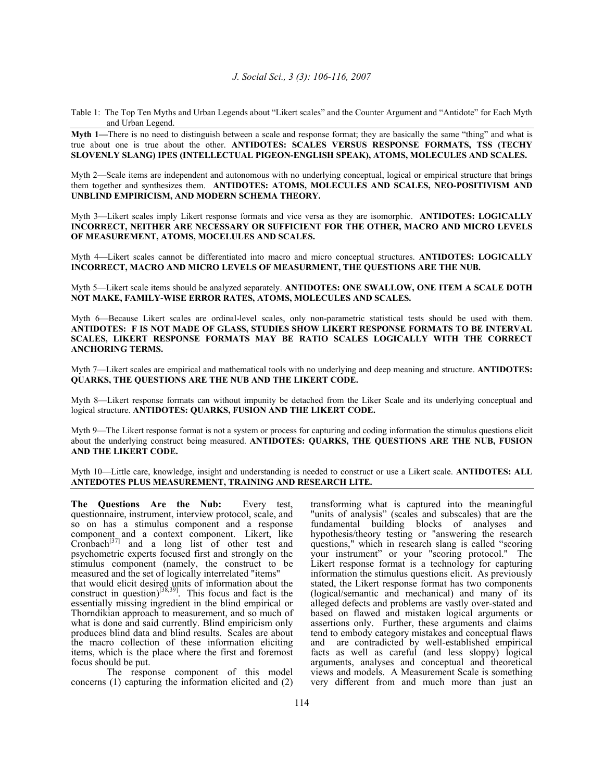Table 1: The Top Ten Myths and Urban Legends about "Likert scales" and the Counter Argument and "Antidote" for Each Myth and Urban Legend.

**Myth 1—**There is no need to distinguish between a scale and response format; they are basically the same "thing" and what is true about one is true about the other. **ANTIDOTES: SCALES VERSUS RESPONSE FORMATS, TSS (TECHY SLOVENLY SLANG) IPES (INTELLECTUAL PIGEON-ENGLISH SPEAK), ATOMS, MOLECULES AND SCALES.** 

Myth 2—Scale items are independent and autonomous with no underlying conceptual, logical or empirical structure that brings them together and synthesizes them. **ANTIDOTES: ATOMS, MOLECULES AND SCALES, NEO-POSITIVISM AND UNBLIND EMPIRICISM, AND MODERN SCHEMA THEORY.** 

Myth 3—Likert scales imply Likert response formats and vice versa as they are isomorphic. **ANTIDOTES: LOGICALLY INCORRECT, NEITHER ARE NECESSARY OR SUFFICIENT FOR THE OTHER, MACRO AND MICRO LEVELS OF MEASUREMENT, ATOMS, MOCELULES AND SCALES.** 

Myth 4**—**Likert scales cannot be differentiated into macro and micro conceptual structures. **ANTIDOTES: LOGICALLY INCORRECT, MACRO AND MICRO LEVELS OF MEASURMENT, THE QUESTIONS ARE THE NUB.** 

Myth 5—Likert scale items should be analyzed separately. **ANTIDOTES: ONE SWALLOW, ONE ITEM A SCALE DOTH NOT MAKE, FAMILY-WISE ERROR RATES, ATOMS, MOLECULES AND SCALES.** 

Myth 6—Because Likert scales are ordinal-level scales, only non-parametric statistical tests should be used with them. **ANTIDOTES: F IS NOT MADE OF GLASS, STUDIES SHOW LIKERT RESPONSE FORMATS TO BE INTERVAL SCALES, LIKERT RESPONSE FORMATS MAY BE RATIO SCALES LOGICALLY WITH THE CORRECT ANCHORING TERMS.** 

Myth 7—Likert scales are empirical and mathematical tools with no underlying and deep meaning and structure. **ANTIDOTES: QUARKS, THE QUESTIONS ARE THE NUB AND THE LIKERT CODE.** 

Myth 8—Likert response formats can without impunity be detached from the Liker Scale and its underlying conceptual and logical structure. **ANTIDOTES: QUARKS, FUSION AND THE LIKERT CODE.** 

Myth 9—The Likert response format is not a system or process for capturing and coding information the stimulus questions elicit about the underlying construct being measured. **ANTIDOTES: QUARKS, THE QUESTIONS ARE THE NUB, FUSION AND THE LIKERT CODE.**

Myth 10—Little care, knowledge, insight and understanding is needed to construct or use a Likert scale. **ANTIDOTES: ALL ANTEDOTES PLUS MEASUREMENT, TRAINING AND RESEARCH LITE.** 

**The Questions Are the Nub:** Every test, questionnaire, instrument, interview protocol, scale, and so on has a stimulus component and a response component and a context component. Likert, like Cronbach<sup>[37]</sup> and a long list of other test and psychometric experts focused first and strongly on the stimulus component (namely, the construct to be measured and the set of logically interrelated "items" that would elicit desired units of information about the construct in question)<sup>[38,39]</sup>. This focus and fact is the essentially missing ingredient in the blind empirical or Thorndikian approach to measurement, and so much of what is done and said currently. Blind empiricism only produces blind data and blind results. Scales are about the macro collection of these information eliciting items, which is the place where the first and foremost focus should be put.

The response component of this model concerns (1) capturing the information elicited and (2)

transforming what is captured into the meaningful "units of analysis" (scales and subscales) that are the fundamental building blocks of analyses and hypothesis/theory testing or "answering the research questions," which in research slang is called "scoring your instrument" or your "scoring protocol." The Likert response format is a technology for capturing information the stimulus questions elicit. As previously stated, the Likert response format has two components (logical/semantic and mechanical) and many of its alleged defects and problems are vastly over-stated and based on flawed and mistaken logical arguments or assertions only. Further, these arguments and claims tend to embody category mistakes and conceptual flaws and are contradicted by well-established empirical facts as well as careful (and less sloppy) logical arguments, analyses and conceptual and theoretical views and models. A Measurement Scale is something very different from and much more than just an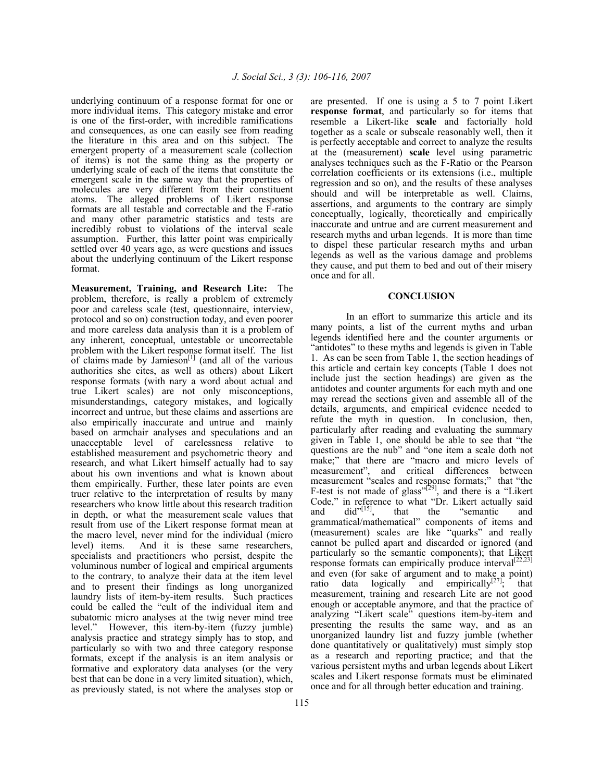underlying continuum of a response format for one or more individual items. This category mistake and error is one of the first-order, with incredible ramifications and consequences, as one can easily see from reading the literature in this area and on this subject. The emergent property of a measurement scale (collection of items) is not the same thing as the property or underlying scale of each of the items that constitute the emergent scale in the same way that the properties of molecules are very different from their constituent atoms. The alleged problems of Likert response formats are all testable and correctable and the F-ratio and many other parametric statistics and tests are incredibly robust to violations of the interval scale assumption. Further, this latter point was empirically settled over 40 years ago, as were questions and issues about the underlying continuum of the Likert response format.

**Measurement, Training, and Research Lite:** The problem, therefore, is really a problem of extremely poor and careless scale (test, questionnaire, interview, protocol and so on) construction today, and even poorer and more careless data analysis than it is a problem of any inherent, conceptual, untestable or uncorrectable problem with the Likert response format itself. The list of claims made by Jamieson<sup>[1]</sup> (and all of the various authorities she cites, as well as others) about Likert response formats (with nary a word about actual and true Likert scales) are not only misconceptions, misunderstandings, category mistakes, and logically incorrect and untrue, but these claims and assertions are also empirically inaccurate and untrue and mainly based on armchair analyses and speculations and an unacceptable level of carelessness relative to established measurement and psychometric theory and research, and what Likert himself actually had to say about his own inventions and what is known about them empirically. Further, these later points are even truer relative to the interpretation of results by many researchers who know little about this research tradition in depth, or what the measurement scale values that result from use of the Likert response format mean at the macro level, never mind for the individual (micro level) items. And it is these same researchers, specialists and practitioners who persist, despite the voluminous number of logical and empirical arguments to the contrary, to analyze their data at the item level and to present their findings as long unorganized laundry lists of item-by-item results. Such practices could be called the "cult of the individual item and subatomic micro analyses at the twig never mind tree level." However, this item-by-item (fuzzy jumble) analysis practice and strategy simply has to stop, and particularly so with two and three category response formats, except if the analysis is an item analysis or formative and exploratory data analyses (or the very best that can be done in a very limited situation), which, as previously stated, is not where the analyses stop or

are presented. If one is using a 5 to 7 point Likert **response format**, and particularly so for items that resemble a Likert-like **scale** and factorially hold together as a scale or subscale reasonably well, then it is perfectly acceptable and correct to analyze the results at the (measurement) **scale** level using parametric analyses techniques such as the F-Ratio or the Pearson correlation coefficients or its extensions (i.e., multiple regression and so on), and the results of these analyses should and will be interpretable as well. Claims, assertions, and arguments to the contrary are simply conceptually, logically, theoretically and empirically inaccurate and untrue and are current measurement and research myths and urban legends. It is more than time to dispel these particular research myths and urban legends as well as the various damage and problems they cause, and put them to bed and out of their misery once and for all.

### **CONCLUSION**

In an effort to summarize this article and its many points, a list of the current myths and urban legends identified here and the counter arguments or "antidotes" to these myths and legends is given in Table 1. As can be seen from Table 1, the section headings of this article and certain key concepts (Table 1 does not include just the section headings) are given as the antidotes and counter arguments for each myth and one may reread the sections given and assemble all of the details, arguments, and empirical evidence needed to refute the myth in question. In conclusion, then, particularly after reading and evaluating the summary given in Table 1, one should be able to see that "the questions are the nub" and "one item a scale doth not make;" that there are "macro and micro levels of measurement", and critical differences between measurement "scales and response formats;" that "the F-test is not made of glass" $[29]$ , and there is a "Likert" Code," in reference to what "Dr. Likert actually said and did" $[15]$ , that the "semantic and and  $did^{"[15]}$ , that the "semantic and grammatical/mathematical" components of items and (measurement) scales are like "quarks" and really cannot be pulled apart and discarded or ignored (and particularly so the semantic components); that Likert response formats can empirically produce interval<sup>[22,23]</sup> and even (for sake of argument and to make a point) ratio data logically and empirically<sup>[27]</sup>; that measurement, training and research Lite are not good enough or acceptable anymore, and that the practice of analyzing "Likert scale" questions item-by-item and presenting the results the same way, and as an unorganized laundry list and fuzzy jumble (whether done quantitatively or qualitatively) must simply stop as a research and reporting practice; and that the various persistent myths and urban legends about Likert scales and Likert response formats must be eliminated once and for all through better education and training.